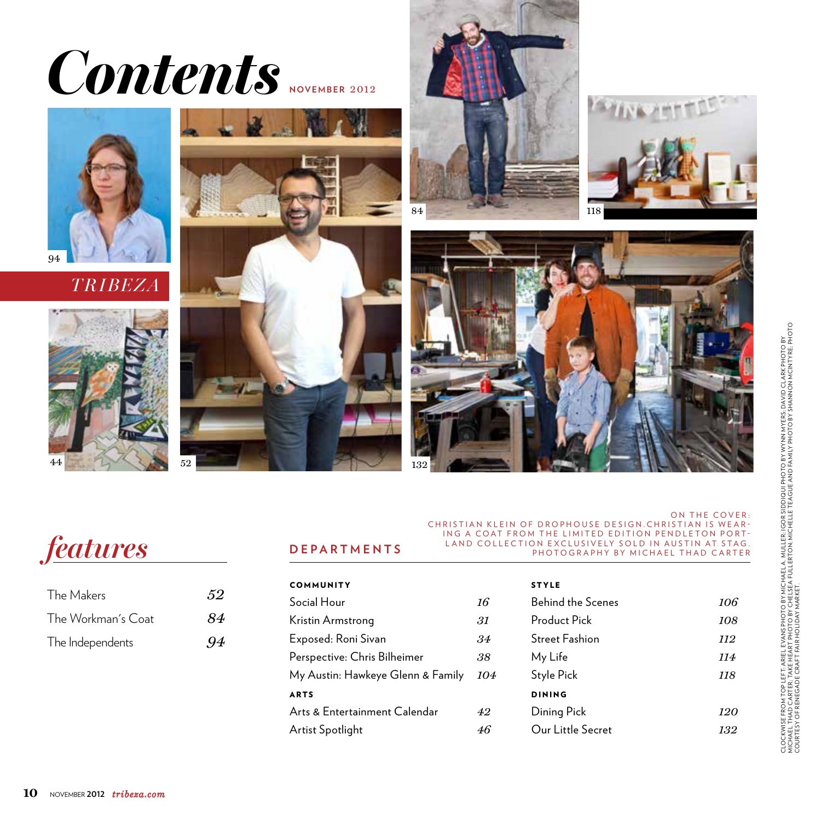## *Contents* **november** <sup>2012</sup>

















## *features*

| The Makers         | 52  |
|--------------------|-----|
| The Workman's Coat | 84  |
| The Independents   | .94 |

## on the cover: CHRISTIAN KLEIN OF DROPHOUSE DESIGN. CHRISTIAN IS WEAR-ING A COAT FROM THE LIMITED EDITION PENDLETON PORT-LAND COLLECTION EXCLUSIVELY SOLD IN AUSTIN AT STAG. photography by michael thad carter

| COMMUNITY                         |     |
|-----------------------------------|-----|
| Social Hour                       | 16  |
| Kristin Armstrong                 | 31. |
| Exposed: Roni Sivan               | .34 |
| Perspective: Chris Bilheimer      | 38. |
| My Austin: Hawkeye Glenn & Family | 104 |
| <b>ARTS</b>                       |     |
| Arts & Entertainment Calendar     | 42  |
| Artist Spotlight                  |     |

**departments**

| <b>STYLE</b>             |     |
|--------------------------|-----|
| <b>Behind the Scenes</b> | 106 |
| Product Pick             | 108 |
| <b>Street Fashion</b>    | 112 |
| My Life                  | 114 |
| Style Pick               | 118 |
| DINING                   |     |
| Dining Pick              | 120 |
| Our Little Secret        | 132 |
|                          |     |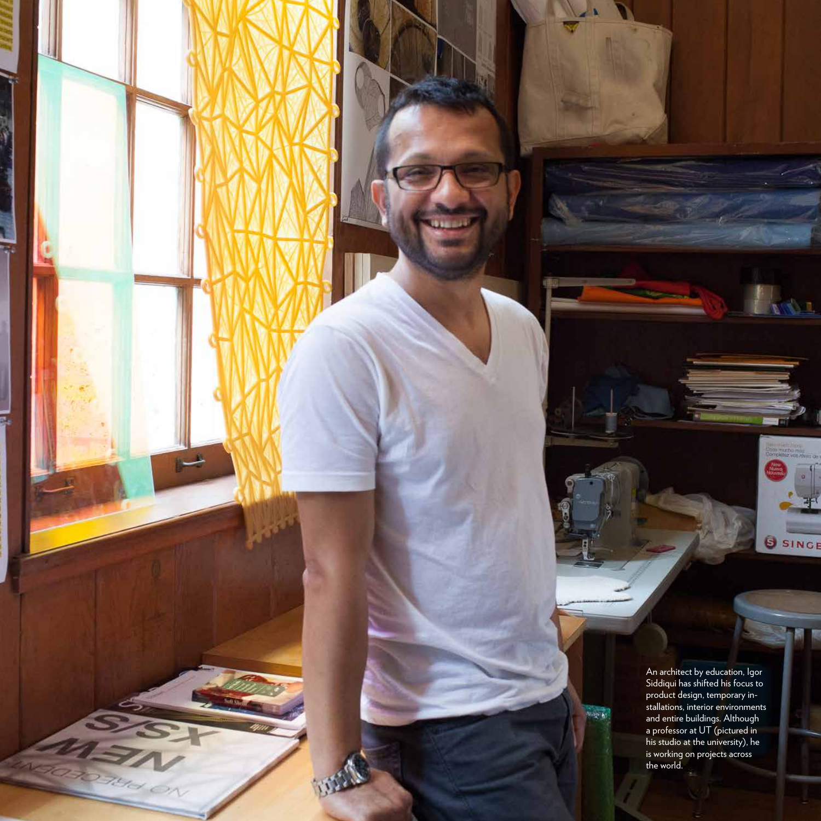An architect by education, Igor Siddiqui has shifted his focus to product design, temporary in stallations, interior environments and entire buildings. Although a professor at UT (pictured in his studio at the university), he is working on projects across the world.

 $\frac{1}{2}$  is the set

ĈП

SINGE

**60** novem ber **<sup>2012</sup>** *tribeza.com*

بلب

**ATES** 

5